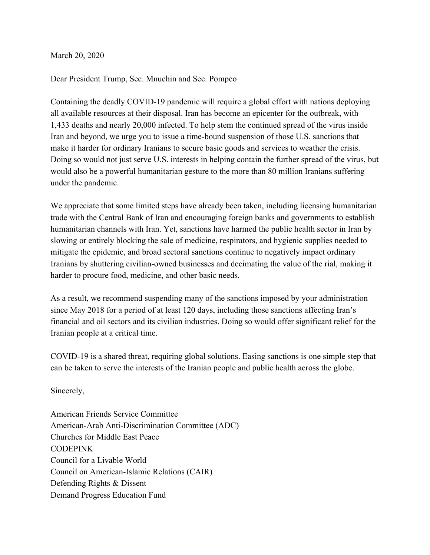March 20, 2020

## Dear President Trump, Sec. Mnuchin and Sec. Pompeo

Containing the deadly COVID-19 pandemic will require a global effort with nations deploying all available resources at their disposal. Iran has become an epicenter for the outbreak, with 1,433 deaths and nearly 20,000 infected. To help stem the continued spread of the virus inside Iran and beyond, we urge you to issue a time-bound suspension of those U.S. sanctions that make it harder for ordinary Iranians to secure basic goods and services to weather the crisis. Doing so would not just serve U.S. interests in helping contain the further spread of the virus, but would also be a powerful humanitarian gesture to the more than 80 million Iranians suffering under the pandemic.

We appreciate that some limited steps have already been taken, including licensing humanitarian trade with the Central Bank of Iran and encouraging foreign banks and governments to establish humanitarian channels with Iran. Yet, sanctions have harmed the public health sector in Iran by slowing or entirely blocking the sale of medicine, respirators, and hygienic supplies needed to mitigate the epidemic, and broad sectoral sanctions continue to negatively impact ordinary Iranians by shuttering civilian-owned businesses and decimating the value of the rial, making it harder to procure food, medicine, and other basic needs.

As a result, we recommend suspending many of the sanctions imposed by your administration since May 2018 for a period of at least 120 days, including those sanctions affecting Iran's financial and oil sectors and its civilian industries. Doing so would offer significant relief for the Iranian people at a critical time.

COVID-19 is a shared threat, requiring global solutions. Easing sanctions is one simple step that can be taken to serve the interests of the Iranian people and public health across the globe.

Sincerely,

American Friends Service Committee American-Arab Anti-Discrimination Committee (ADC) Churches for Middle East Peace **CODEPINK** Council for a Livable World Council on American-Islamic Relations (CAIR) Defending Rights & Dissent Demand Progress Education Fund